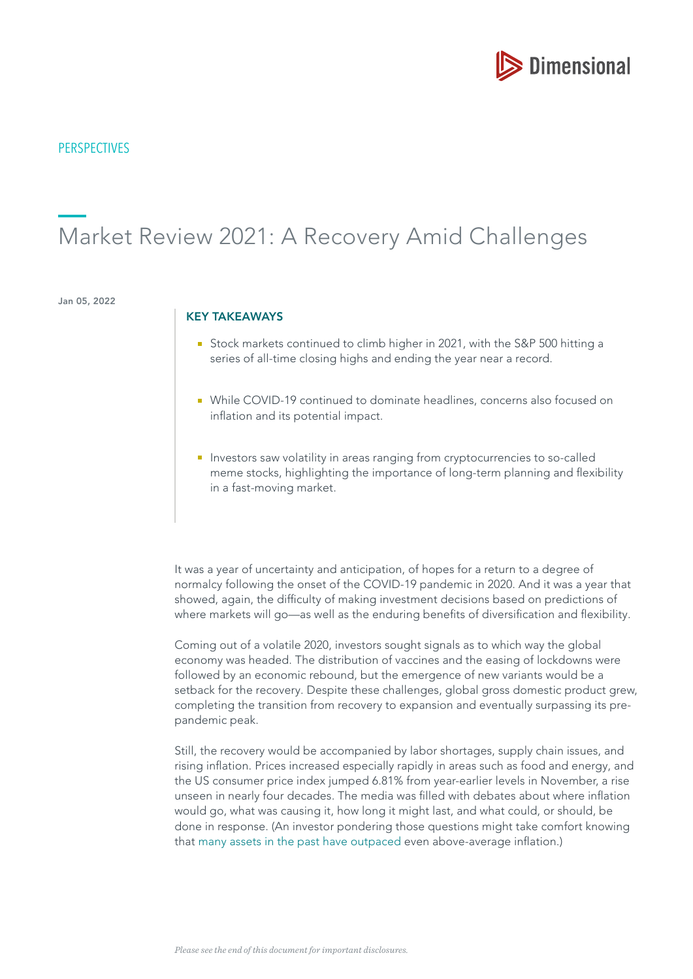

# Market Review 2021: A Recovery Amid Challenges

Jan 05, 2022

#### KEY TAKEAWAYS

- Stock markets continued to climb higher in 2021, with the S&P 500 hitting a series of all-time closing highs and ending the year near a record.
- While COVID-19 continued to dominate headlines, concerns also focused on infation and its potential impact.
- **Investors saw volatility in areas ranging from cryptocurrencies to so-called** meme stocks, highlighting the importance of long-term planning and fexibility in a fast-moving market.

It was a year of uncertainty and anticipation, of hopes for a return to a degree of normalcy following the onset of the COVID-19 pandemic in 2020. And it was a year that showed, again, the difficulty of making investment decisions based on predictions of where markets will go—as well as the enduring benefits of diversification and flexibility.

Coming out of a volatile 2020, investors sought signals as to which way the global economy was headed. The distribution of vaccines and the easing of lockdowns were followed by an economic rebound, but the emergence of new variants would be a setback for the recovery. Despite these challenges, global gross domestic product grew, completing the transition from recovery to expansion and eventually surpassing its prepandemic peak.

Still, the recovery would be accompanied by labor shortages, supply chain issues, and rising infation. Prices increased especially rapidly in areas such as food and energy, and the US consumer price index jumped 6.81% from year-earlier levels in November, a rise unseen in nearly four decades. The media was flled with debates about where infation would go, what was causing it, how long it might last, and what could, or should, be done in response. (An investor pondering those questions might take comfort knowing that [many assets in the past have outpaced](https://my.dimensional.com/are-concerns-about-inflation-inflated) even above-average infation.)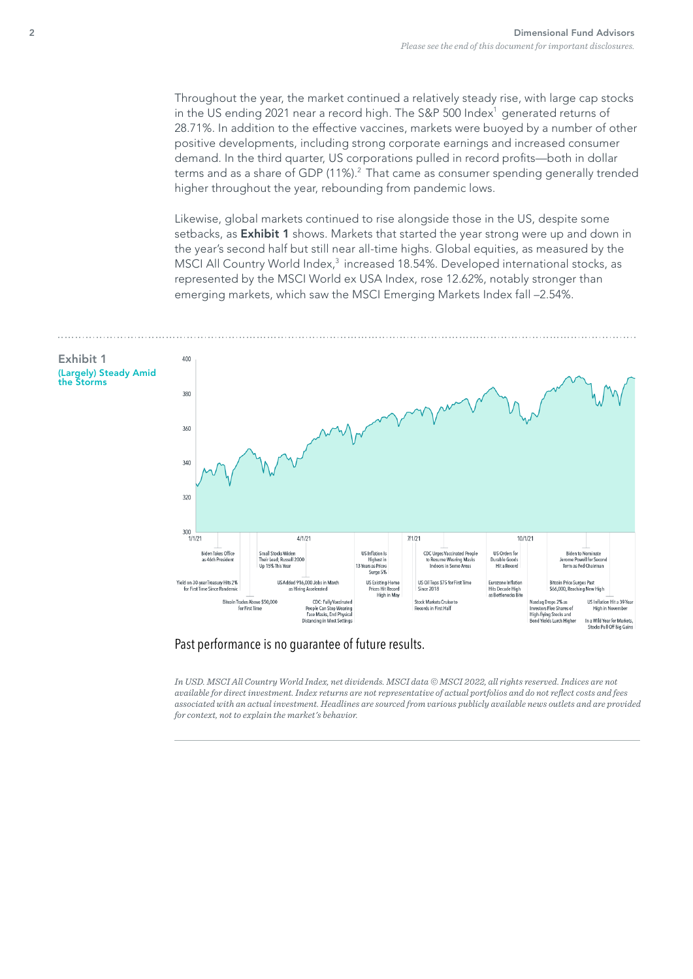Throughout the year, the market continued a relatively steady rise, with large cap stocks in the US ending 2021 near a record high. The S&P 500 Index<sup>1</sup> generated returns of 28.71%. In addition to the effective vaccines, markets were buoyed by a number of other positive developments, including strong corporate earnings and increased consumer demand. In the third quarter, US corporations pulled in record profts—both in dollar terms and as a share of GDP  $(11\%)$ .<sup>2</sup> That came as consumer spending generally trended higher throughout the year, rebounding from pandemic lows.

Likewise, global markets continued to rise alongside those in the US, despite some setbacks, as Exhibit 1 shows. Markets that started the year strong were up and down in the year's second half but still near all-time highs. Global equities, as measured by the MSCI All Country World Index,<sup>3</sup> increased 18.54%. Developed international stocks, as represented by the MSCI World ex USA Index, rose 12.62%, notably stronger than emerging markets, which saw the MSCI Emerging Markets Index fall –2.54%.



### Past performance is no guarantee of future results.

*In USD. MSCI All Country World Index, net dividends. MSCI data © MSCI 2022, all rights reserved. Indices are not available for direct investment. Index returns are not representative of actual portfolios and do not refect costs and fees associated with an actual investment. Headlines are sourced from various publicly available news outlets and are provided for context, not to explain the market's behavior.*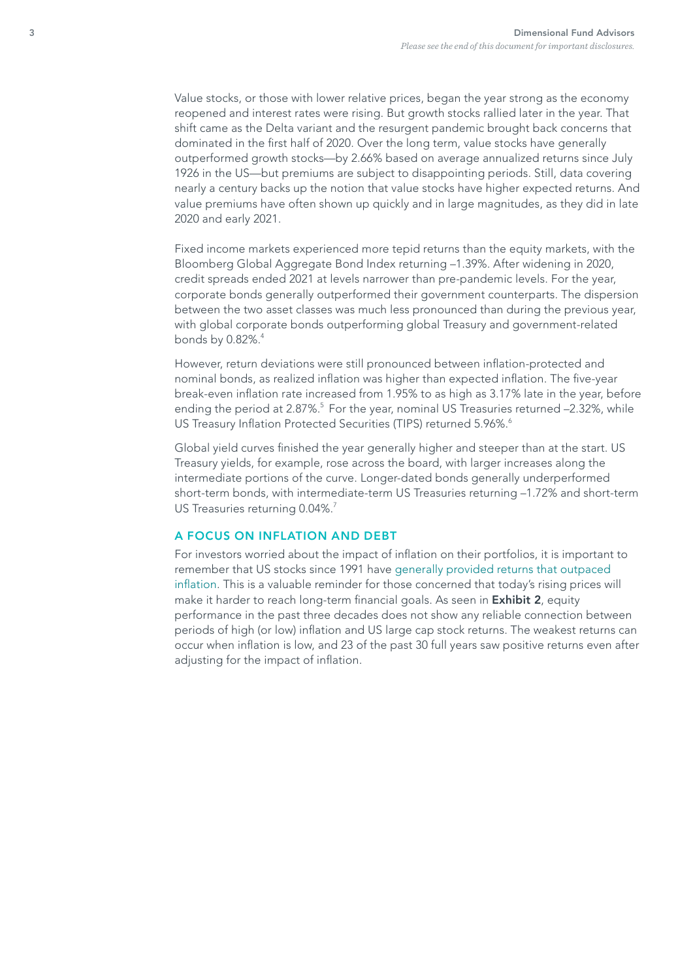Value stocks, or those with lower relative prices, began the year strong as the economy reopened and interest rates were rising. But growth stocks rallied later in the year. That shift came as the Delta variant and the resurgent pandemic brought back concerns that dominated in the frst half of 2020. Over the long term, value stocks have generally outperformed growth stocks—by 2.66% based on average annualized returns since July 1926 in the US—but premiums are subject to disappointing periods. Still, data covering nearly a century backs up the notion that value stocks have higher expected returns. And value premiums have often shown up quickly and in large magnitudes, as they did in late 2020 and early 2021.

Fixed income markets experienced more tepid returns than the equity markets, with the Bloomberg Global Aggregate Bond Index returning –1.39%. After widening in 2020, credit spreads ended 2021 at levels narrower than pre-pandemic levels. For the year, corporate bonds generally outperformed their government counterparts. The dispersion between the two asset classes was much less pronounced than during the previous year, with global corporate bonds outperforming global Treasury and government-related bonds by 0.82%.<sup>4</sup>

However, return deviations were still pronounced between infation-protected and nominal bonds, as realized infation was higher than expected infation. The fve-year break-even infation rate increased from 1.95% to as high as 3.17% late in the year, before ending the period at  $2.87\%$ <sup>5</sup> For the year, nominal US Treasuries returned  $-2.32\%$ , while US Treasury Inflation Protected Securities (TIPS) returned 5.96%.<sup>6</sup>

Global yield curves finished the year generally higher and steeper than at the start. US Treasury yields, for example, rose across the board, with larger increases along the intermediate portions of the curve. Longer-dated bonds generally underperformed short-term bonds, with intermediate-term US Treasuries returning –1.72% and short-term US Treasuries returning 0.04%.<sup>7</sup>

### A FOCUS ON INFLATION AND DEBT

For investors worried about the impact of infation on their portfolios, it is important to remember that US stocks since 1991 have [generally provided returns that outpaced](https://my.dimensional.com/will-inflation-hurt-stock-returns-not-necessarily)  [infation.](https://my.dimensional.com/will-inflation-hurt-stock-returns-not-necessarily) This is a valuable reminder for those concerned that today's rising prices will make it harder to reach long-term financial goals. As seen in **Exhibit 2**, equity performance in the past three decades does not show any reliable connection between periods of high (or low) infation and US large cap stock returns. The weakest returns can occur when infation is low, and 23 of the past 30 full years saw positive returns even after adjusting for the impact of inflation.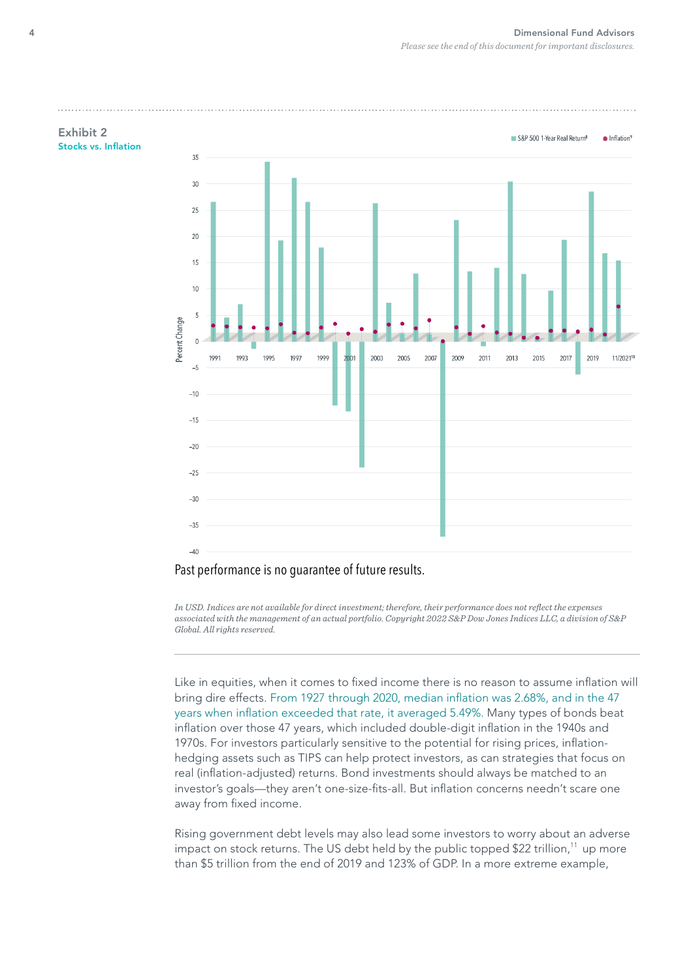

Past performance is no guarantee of future results.

*In USD. Indices are not available for direct investment; therefore, their performance does not refect the expenses associated with the management of an actual portfolio. Copyright 2022 S&P Dow Jones Indices LLC, a division of S&P Global. All rights reserved.*

Like in equities, when it comes to fixed income there is no reason to assume inflation will bring dire effects. [From 1927 through 2020, median infation was 2.68%, and in the 47](https://papers.ssrn.com/sol3/papers.cfm?abstract_id=3882899)  [years when infation exceeded that rate, it averaged 5.49%.](https://papers.ssrn.com/sol3/papers.cfm?abstract_id=3882899) Many types of bonds beat infation over those 47 years, which included double-digit infation in the 1940s and 1970s. For investors particularly sensitive to the potential for rising prices, infationhedging assets such as TIPS can help protect investors, as can strategies that focus on real (infation-adjusted) returns. Bond investments should always be matched to an investor's goals—they aren't one-size-fts-all. But infation concerns needn't scare one away from fixed income.

Rising government debt levels may also lead some investors to worry about an adverse impact on stock returns. The US debt held by the public topped \$22 trillion,<sup>11</sup> up more than \$5 trillion from the end of 2019 and 123% of GDP. In a more extreme example,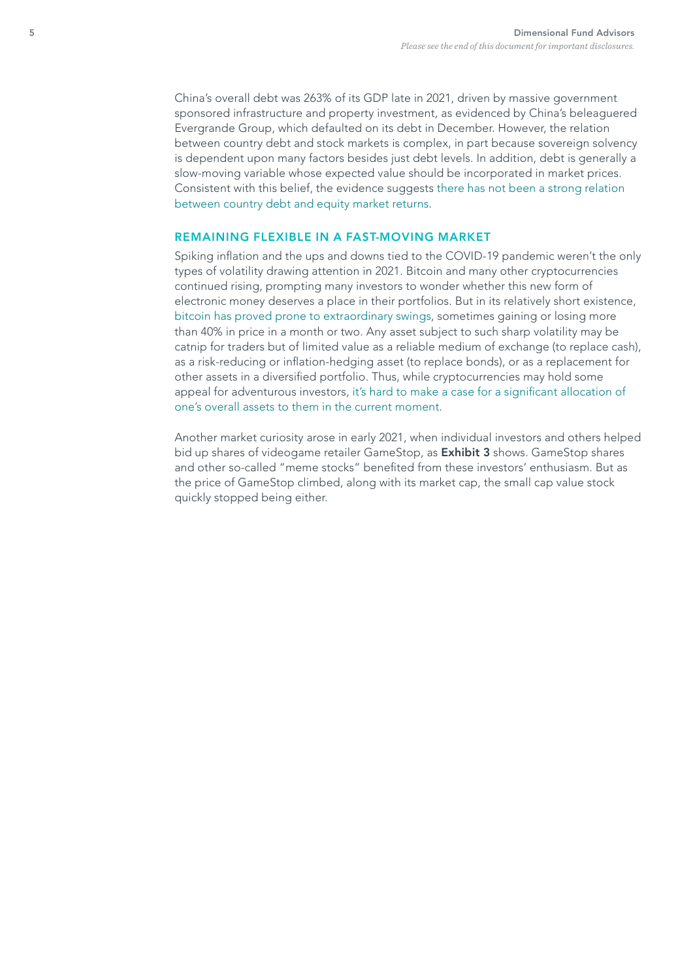China's overall debt was 263% of its GDP late in 2021, driven by massive government sponsored infrastructure and property investment, as evidenced by China's beleaguered Evergrande Group, which defaulted on its debt in December. However, the relation between country debt and stock markets is complex, in part because sovereign solvency is dependent upon many factors besides just debt levels. In addition, debt is generally a slow-moving variable whose expected value should be incorporated in market prices. Consistent with this belief, the evidence suggests [there has not been a strong relation](https://my.dimensional.com/is-22-trillion-a-tipping-point)  [between country debt and equity market returns.](https://my.dimensional.com/is-22-trillion-a-tipping-point)

# REMAINING FLEXIBLE IN A FAST-MOVING MARKET

Spiking infation and the ups and downs tied to the COVID-19 pandemic weren't the only types of volatility drawing attention in 2021. Bitcoin and many other cryptocurrencies continued rising, prompting many investors to wonder whether this new form of electronic money deserves a place in their portfolios. But in its relatively short existence, [bitcoin has proved prone to extraordinary swings,](https://my.dimensional.com/tales-from-the-crypto) sometimes gaining or losing more than 40% in price in a month or two. Any asset subject to such sharp volatility may be catnip for traders but of limited value as a reliable medium of exchange (to replace cash), as a risk-reducing or infation-hedging asset (to replace bonds), or as a replacement for other assets in a diversifed portfolio. Thus, while cryptocurrencies may hold some appeal for adventurous investors, it's hard to make a case for a significant allocation of [one's overall assets to them in the current moment.](https://my.dimensional.com/to-bit-or-not-to-bit)

Another market curiosity arose in early 2021, when individual investors and others helped bid up shares of videogame retailer GameStop, as **Exhibit 3** shows. GameStop shares and other so-called "meme stocks" benefted from these investors' enthusiasm. But as the price of GameStop climbed, along with its market cap, the small cap value stock quickly stopped being either.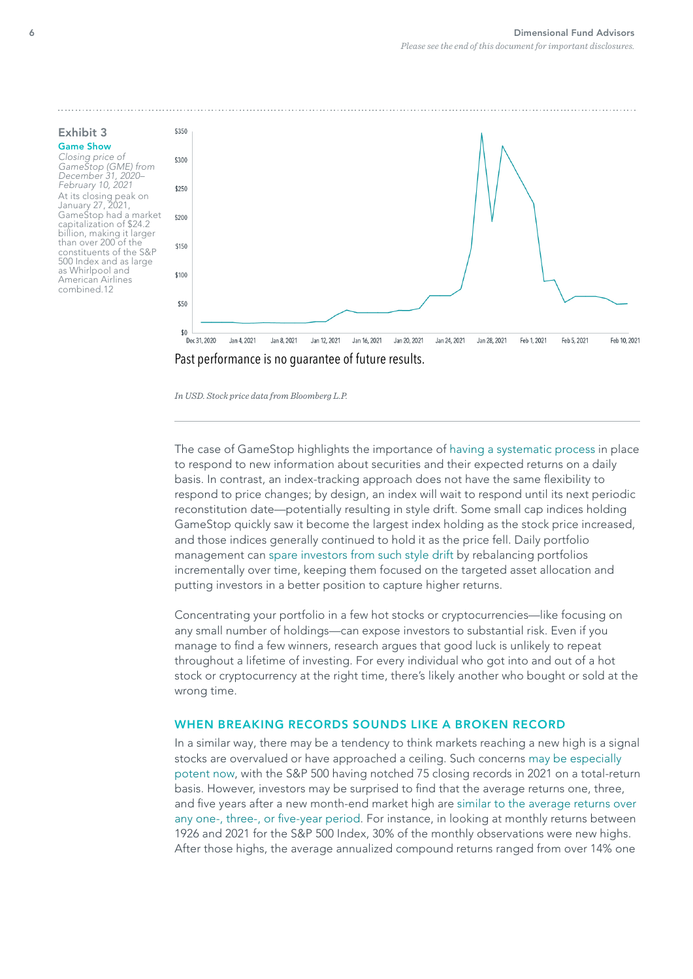Exhibit 3 Game Show Closing price of GameStop (GME) from December 31, 2020– February 10, 2021 At its closing peak on January 27, 2021, GameStop had a market capitalization of \$24.2 billion, making it larger than over 200 of the constituents of the S&P 500 Index and as large as Whirlpool and American Airlines combined.12





*In USD. Stock price data from Bloomberg L.P.*

The case of GameStop highlights the importance of [having a systematic process](https://my.dimensional.com/how-we-handled-gamestop) in place to respond to new information about securities and their expected returns on a daily basis. In contrast, an index-tracking approach does not have the same fexibility to respond to price changes; by design, an index will wait to respond until its next periodic reconstitution date—potentially resulting in style drift. Some small cap indices holding GameStop quickly saw it become the largest index holding as the stock price increased, and those indices generally continued to hold it as the price fell. Daily portfolio management can [spare investors from such style drift](https://my.dimensional.com/out-of-bounds) by rebalancing portfolios incrementally over time, keeping them focused on the targeted asset allocation and putting investors in a better position to capture higher returns.

Concentrating your portfolio in a few hot stocks or cryptocurrencies—like focusing on any small number of holdings—can expose investors to substantial risk. Even if you manage to fnd a few winners, research argues that good luck is unlikely to repeat throughout a lifetime of investing. For every individual who got into and out of a hot stock or cryptocurrency at the right time, there's likely another who bought or sold at the wrong time.

### WHEN BREAKING RECORDS SOUNDS LIKE A BROKEN RECORD

In a similar way, there may be a tendency to think markets reaching a new high is a signal stocks are overvalued or have approached a ceiling. Such concerns [may be especially](https://my.dimensional.com/all-time-high-anxiety)  [potent now,](https://my.dimensional.com/all-time-high-anxiety) with the S&P 500 having notched 75 closing records in 2021 on a total-return basis. However, investors may be surprised to fnd that the average returns one, three, and five years after a new month-end market high are similar to the average returns over any one-, three-, or five-year period. For instance, in looking at monthly returns between 1926 and 2021 for the S&P 500 Index, 30% of the monthly observations were new highs. After those highs, the average annualized compound returns ranged from over 14% one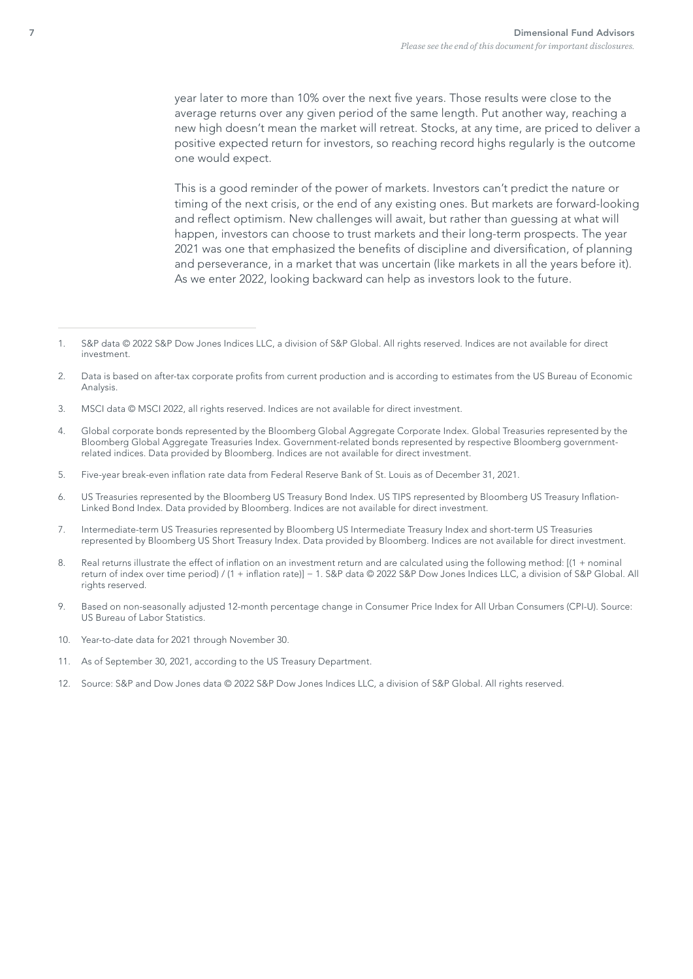year later to more than 10% over the next five years. Those results were close to the average returns over any given period of the same length. Put another way, reaching a new high doesn't mean the market will retreat. Stocks, at any time, are priced to deliver a positive expected return for investors, so reaching record highs regularly is the outcome one would expect.

This is a good reminder of the power of markets. Investors can't predict the nature or timing of the next crisis, or the end of any existing ones. But markets are forward-looking and refect optimism. New challenges will await, but rather than guessing at what will happen, investors can choose to trust markets and their long-term prospects. The year 2021 was one that emphasized the benefits of discipline and diversification, of planning and perseverance, in a market that was uncertain (like markets in all the years before it). As we enter 2022, looking backward can help as investors look to the future.

- 3. MSCI data © MSCI 2022, all rights reserved. Indices are not available for direct investment.
- 4. Global corporate bonds represented by the Bloomberg Global Aggregate Corporate Index. Global Treasuries represented by the Bloomberg Global Aggregate Treasuries Index. Government-related bonds represented by respective Bloomberg governmentrelated indices. Data provided by Bloomberg. Indices are not available for direct investment.
- 5. Five-year break-even infation rate data from Federal Reserve Bank of St. Louis as of December 31, 2021.
- 6. US Treasuries represented by the Bloomberg US Treasury Bond Index. US TIPS represented by Bloomberg US Treasury Infation-Linked Bond Index. Data provided by Bloomberg. Indices are not available for direct investment.
- 7. Intermediate-term US Treasuries represented by Bloomberg US Intermediate Treasury Index and short-term US Treasuries represented by Bloomberg US Short Treasury Index. Data provided by Bloomberg. Indices are not available for direct investment.
- 8. Real returns illustrate the effect of infation on an investment return and are calculated using the following method: [(1 + nominal return of index over time period) / (1 + infation rate)] − 1. S&P data © 2022 S&P Dow Jones Indices LLC, a division of S&P Global. All rights reserved.
- 9. Based on non-seasonally adjusted 12-month percentage change in Consumer Price Index for All Urban Consumers (CPI-U). Source: US Bureau of Labor Statistics.
- 10. Year-to-date data for 2021 through November 30.
- 11. As of September 30, 2021, according to the US Treasury Department.
- 12. Source: S&P and Dow Jones data © 2022 S&P Dow Jones Indices LLC, a division of S&P Global. All rights reserved.

<sup>1.</sup> S&P data © 2022 S&P Dow Jones Indices LLC, a division of S&P Global. All rights reserved. Indices are not available for direct investment.

<sup>2.</sup> Data is based on after-tax corporate profts from current production and is according to estimates from the US Bureau of Economic Analysis.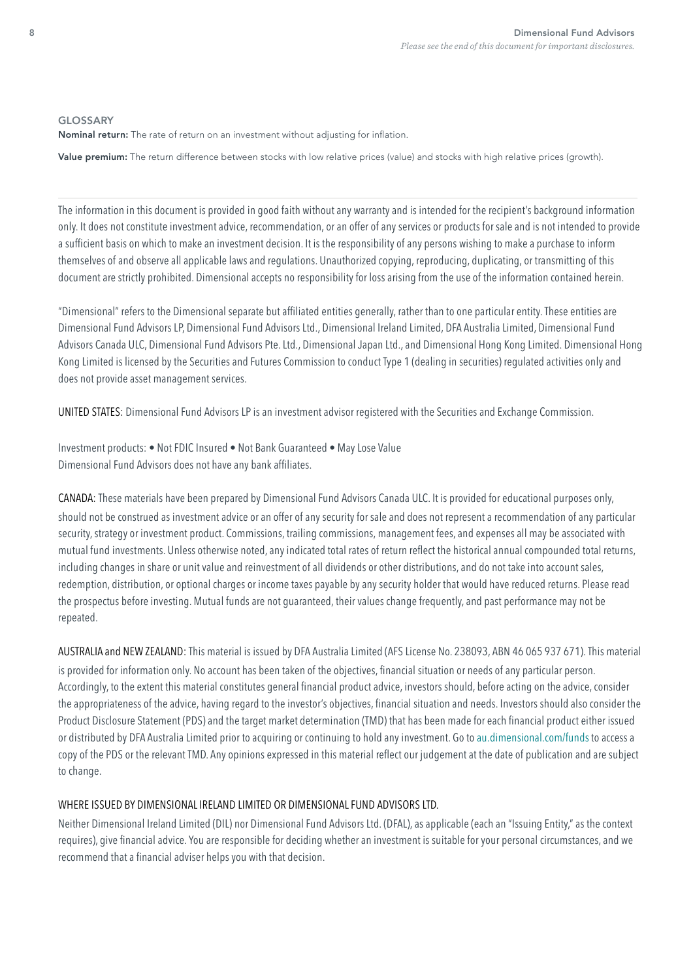#### GLOSSARY

Nominal return: The rate of return on an investment without adjusting for infation.

Value premium: The return difference between stocks with low relative prices (value) and stocks with high relative prices (growth).

The information in this document is provided in good faith without any warranty and is intended for the recipient's background information only. It does not constitute investment advice, recommendation, or an offer of any services or products for sale and is not intended to provide a sufficient basis on which to make an investment decision. It is the responsibility of any persons wishing to make a purchase to inform themselves of and observe all applicable laws and regulations. Unauthorized copying, reproducing, duplicating, or transmitting of this document are strictly prohibited. Dimensional accepts no responsibility for loss arising from the use of the information contained herein.

"Dimensional" refers to the Dimensional separate but affliated entities generally, rather than to one particular entity. These entities are Dimensional Fund Advisors LP, Dimensional Fund Advisors Ltd., Dimensional Ireland Limited, DFA Australia Limited, Dimensional Fund Advisors Canada ULC, Dimensional Fund Advisors Pte. Ltd., Dimensional Japan Ltd., and Dimensional Hong Kong Limited. Dimensional Hong Kong Limited is licensed by the Securities and Futures Commission to conduct Type 1 (dealing in securities) regulated activities only and does not provide asset management services.

UNITED STATES: Dimensional Fund Advisors LP is an investment advisor registered with the Securities and Exchange Commission.

Investment products: • Not FDIC Insured • Not Bank Guaranteed • May Lose Value Dimensional Fund Advisors does not have any bank affliates.

CANADA: These materials have been prepared by Dimensional Fund Advisors Canada ULC. It is provided for educational purposes only, should not be construed as investment advice or an offer of any security for sale and does not represent a recommendation of any particular security, strategy or investment product. Commissions, trailing commissions, management fees, and expenses all may be associated with mutual fund investments. Unless otherwise noted, any indicated total rates of return refect the historical annual compounded total returns, including changes in share or unit value and reinvestment of all dividends or other distributions, and do not take into account sales, redemption, distribution, or optional charges or income taxes payable by any security holder that would have reduced returns. Please read the prospectus before investing. Mutual funds are not guaranteed, their values change frequently, and past performance may not be repeated.

AUSTRALIA and NEW ZEALAND: This material is issued by DFA Australia Limited (AFS License No. 238093, ABN 46 065 937 671). This material is provided for information only. No account has been taken of the objectives, fnancial situation or needs of any particular person. Accordingly, to the extent this material constitutes general fnancial product advice, investors should, before acting on the advice, consider the appropriateness of the advice, having regard to the investor's objectives, fnancial situation and needs. Investors should also consider the Product Disclosure Statement (PDS) and the target market determination (TMD) that has been made for each fnancial product either issued or distributed by DFA Australia Limited prior to acquiring or continuing to hold any investment. Go to [au.dimensional.com/funds](https://au.dimensional.com/funds) to access a copy of the PDS or the relevant TMD. Any opinions expressed in this material refect our judgement at the date of publication and are subject to change.

# WHERE ISSUED BY DIMENSIONAL IRELAND LIMITED OR DIMENSIONAL FUND ADVISORS LTD.

Neither Dimensional Ireland Limited (DIL) nor Dimensional Fund Advisors Ltd. (DFAL), as applicable (each an "Issuing Entity," as the context requires), give fnancial advice. You are responsible for deciding whether an investment is suitable for your personal circumstances, and we recommend that a financial adviser helps you with that decision.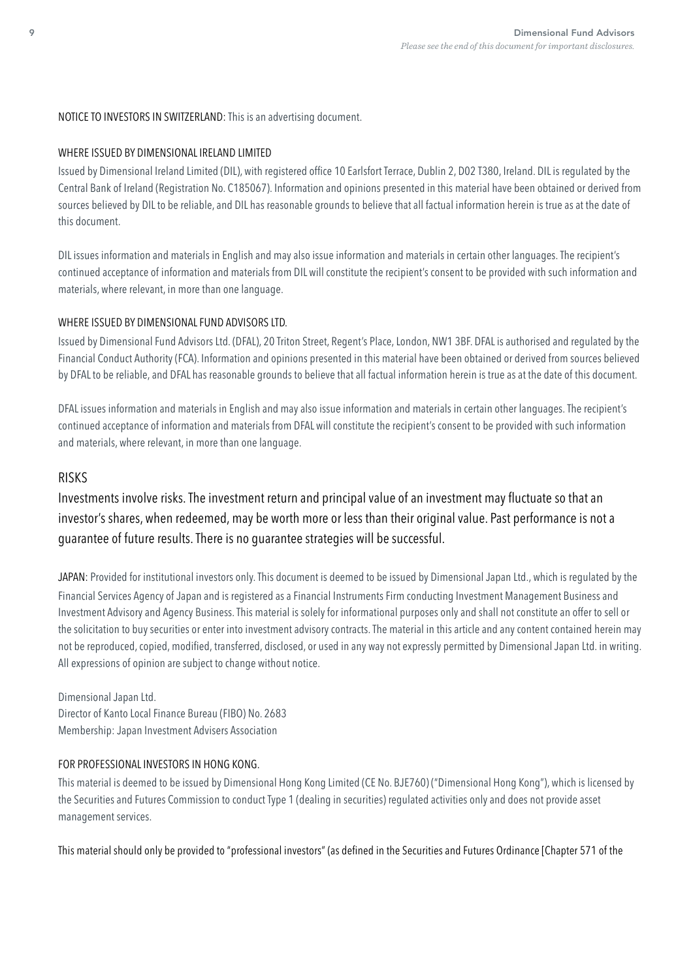# NOTICE TO INVESTORS IN SWITZERLAND: This is an advertising document.

# WHERE ISSUED BY DIMENSIONAL IRELAND LIMITED

Issued by Dimensional Ireland Limited (DIL), with registered office 10 Earlsfort Terrace, Dublin 2, D02 T380, Ireland. DIL is regulated by the Central Bank of Ireland (Registration No. C185067). Information and opinions presented in this material have been obtained or derived from sources believed by DIL to be reliable, and DIL has reasonable grounds to believe that all factual information herein is true as at the date of this document.

DIL issues information and materials in English and may also issue information and materials in certain other languages. The recipient's continued acceptance of information and materials from DIL will constitute the recipient's consent to be provided with such information and materials, where relevant, in more than one language.

# WHERE ISSUED BY DIMENSIONAL FUND ADVISORS LTD.

Issued by Dimensional Fund Advisors Ltd. (DFAL), 20 Triton Street, Regent's Place, London, NW1 3BF. DFAL is authorised and regulated by the Financial Conduct Authority (FCA). Information and opinions presented in this material have been obtained or derived from sources believed by DFAL to be reliable, and DFAL has reasonable grounds to believe that all factual information herein is true as at the date of this document.

DFAL issues information and materials in English and may also issue information and materials in certain other languages. The recipient's continued acceptance of information and materials from DFAL will constitute the recipient's consent to be provided with such information and materials, where relevant, in more than one language.

# **RISKS**

Investments involve risks. The investment return and principal value of an investment may fuctuate so that an investor's shares, when redeemed, may be worth more or less than their original value. Past performance is not a guarantee of future results. There is no guarantee strategies will be successful.

JAPAN: Provided for institutional investors only. This document is deemed to be issued by Dimensional Japan Ltd., which is regulated by the Financial Services Agency of Japan and is registered as a Financial Instruments Firm conducting Investment Management Business and Investment Advisory and Agency Business. This material is solely for informational purposes only and shall not constitute an offer to sell or the solicitation to buy securities or enter into investment advisory contracts. The material in this article and any content contained herein may not be reproduced, copied, modifed, transferred, disclosed, or used in any way not expressly permitted by Dimensional Japan Ltd. in writing. All expressions of opinion are subject to change without notice.

Dimensional Japan Ltd. Director of Kanto Local Finance Bureau (FIBO) No. 2683 Membership: Japan Investment Advisers Association

# FOR PROFESSIONAL INVESTORS IN HONG KONG.

This material is deemed to be issued by Dimensional Hong Kong Limited (CE No. BJE760) ("Dimensional Hong Kong"), which is licensed by the Securities and Futures Commission to conduct Type 1 (dealing in securities) regulated activities only and does not provide asset management services.

This material should only be provided to "professional investors" (as defned in the Securities and Futures Ordinance [Chapter 571 of the